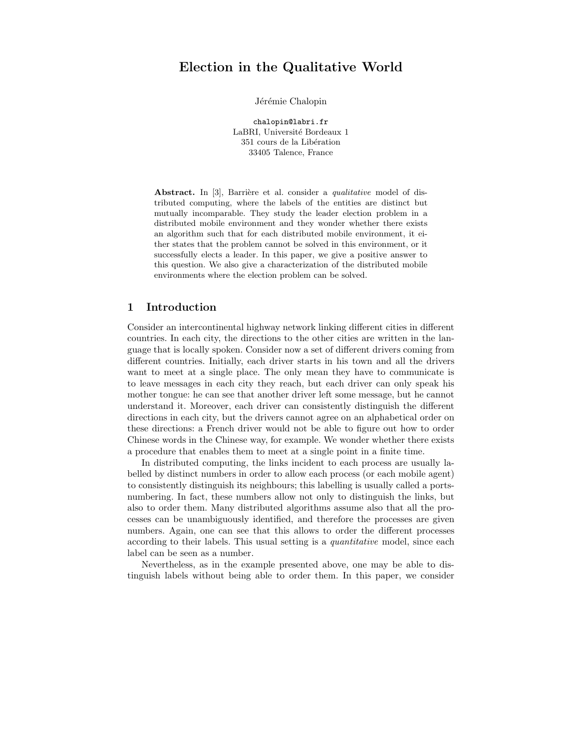# Election in the Qualitative World

Jérémie Chalopin

chalopin@labri.fr LaBRI, Université Bordeaux 1 351 cours de la Libération 33405 Talence, France

Abstract. In [3], Barrière et al. consider a *qualitative* model of distributed computing, where the labels of the entities are distinct but mutually incomparable. They study the leader election problem in a distributed mobile environment and they wonder whether there exists an algorithm such that for each distributed mobile environment, it either states that the problem cannot be solved in this environment, or it successfully elects a leader. In this paper, we give a positive answer to this question. We also give a characterization of the distributed mobile environments where the election problem can be solved.

## 1 Introduction

Consider an intercontinental highway network linking different cities in different countries. In each city, the directions to the other cities are written in the language that is locally spoken. Consider now a set of different drivers coming from different countries. Initially, each driver starts in his town and all the drivers want to meet at a single place. The only mean they have to communicate is to leave messages in each city they reach, but each driver can only speak his mother tongue: he can see that another driver left some message, but he cannot understand it. Moreover, each driver can consistently distinguish the different directions in each city, but the drivers cannot agree on an alphabetical order on these directions: a French driver would not be able to figure out how to order Chinese words in the Chinese way, for example. We wonder whether there exists a procedure that enables them to meet at a single point in a finite time.

In distributed computing, the links incident to each process are usually labelled by distinct numbers in order to allow each process (or each mobile agent) to consistently distinguish its neighbours; this labelling is usually called a portsnumbering. In fact, these numbers allow not only to distinguish the links, but also to order them. Many distributed algorithms assume also that all the processes can be unambiguously identified, and therefore the processes are given numbers. Again, one can see that this allows to order the different processes according to their labels. This usual setting is a quantitative model, since each label can be seen as a number.

Nevertheless, as in the example presented above, one may be able to distinguish labels without being able to order them. In this paper, we consider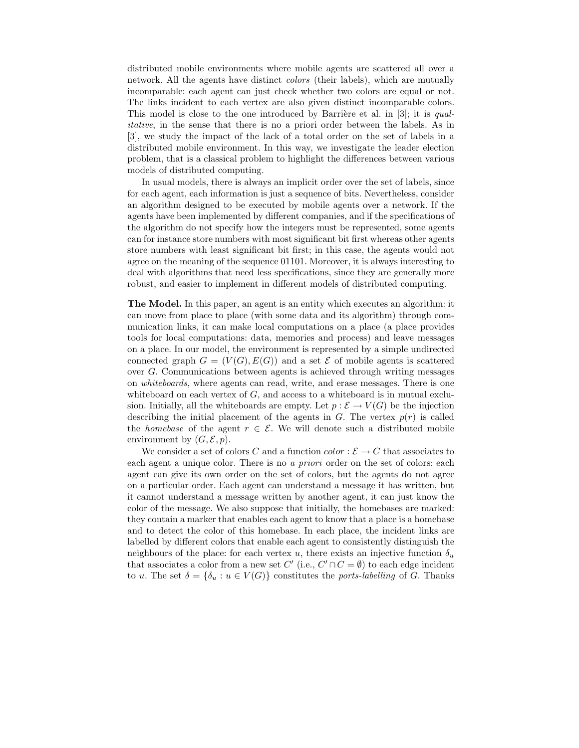distributed mobile environments where mobile agents are scattered all over a network. All the agents have distinct colors (their labels), which are mutually incomparable: each agent can just check whether two colors are equal or not. The links incident to each vertex are also given distinct incomparable colors. This model is close to the one introduced by Barrière et al. in [3]; it is qualitative, in the sense that there is no a priori order between the labels. As in [3], we study the impact of the lack of a total order on the set of labels in a distributed mobile environment. In this way, we investigate the leader election problem, that is a classical problem to highlight the differences between various models of distributed computing.

In usual models, there is always an implicit order over the set of labels, since for each agent, each information is just a sequence of bits. Nevertheless, consider an algorithm designed to be executed by mobile agents over a network. If the agents have been implemented by different companies, and if the specifications of the algorithm do not specify how the integers must be represented, some agents can for instance store numbers with most significant bit first whereas other agents store numbers with least significant bit first; in this case, the agents would not agree on the meaning of the sequence 01101. Moreover, it is always interesting to deal with algorithms that need less specifications, since they are generally more robust, and easier to implement in different models of distributed computing.

The Model. In this paper, an agent is an entity which executes an algorithm: it can move from place to place (with some data and its algorithm) through communication links, it can make local computations on a place (a place provides tools for local computations: data, memories and process) and leave messages on a place. In our model, the environment is represented by a simple undirected connected graph  $G = (V(G), E(G))$  and a set  $\mathcal E$  of mobile agents is scattered over G. Communications between agents is achieved through writing messages on whiteboards, where agents can read, write, and erase messages. There is one whiteboard on each vertex of  $G$ , and access to a whiteboard is in mutual exclusion. Initially, all the whiteboards are empty. Let  $p : \mathcal{E} \to V(G)$  be the injection describing the initial placement of the agents in G. The vertex  $p(r)$  is called the homebase of the agent  $r \in \mathcal{E}$ . We will denote such a distributed mobile environment by  $(G, \mathcal{E}, p)$ .

We consider a set of colors C and a function  $color: \mathcal{E} \to C$  that associates to each agent a unique color. There is no a priori order on the set of colors: each agent can give its own order on the set of colors, but the agents do not agree on a particular order. Each agent can understand a message it has written, but it cannot understand a message written by another agent, it can just know the color of the message. We also suppose that initially, the homebases are marked: they contain a marker that enables each agent to know that a place is a homebase and to detect the color of this homebase. In each place, the incident links are labelled by different colors that enable each agent to consistently distinguish the neighbours of the place: for each vertex u, there exists an injective function  $\delta_u$ that associates a color from a new set  $C'$  (i.e.,  $C' \cap C = \emptyset$ ) to each edge incident to u. The set  $\delta = {\delta_u : u \in V(G)}$  constitutes the ports-labelling of G. Thanks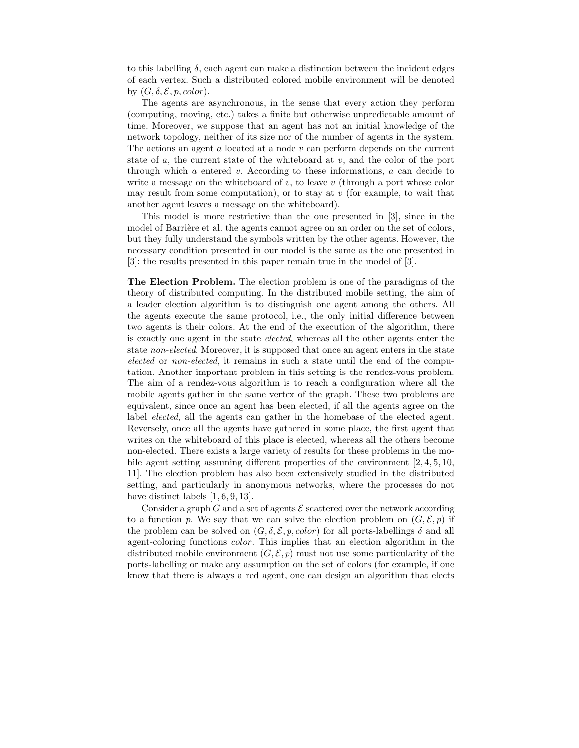to this labelling  $\delta$ , each agent can make a distinction between the incident edges of each vertex. Such a distributed colored mobile environment will be denoted by  $(G, \delta, \mathcal{E}, p, color)$ .

The agents are asynchronous, in the sense that every action they perform (computing, moving, etc.) takes a finite but otherwise unpredictable amount of time. Moreover, we suppose that an agent has not an initial knowledge of the network topology, neither of its size nor of the number of agents in the system. The actions an agent  $a$  located at a node  $v$  can perform depends on the current state of a, the current state of the whiteboard at  $v$ , and the color of the port through which  $a$  entered  $v$ . According to these informations,  $a$  can decide to write a message on the whiteboard of  $v$ , to leave  $v$  (through a port whose color may result from some computation), or to stay at  $v$  (for example, to wait that another agent leaves a message on the whiteboard).

This model is more restrictive than the one presented in [3], since in the model of Barrière et al. the agents cannot agree on an order on the set of colors, but they fully understand the symbols written by the other agents. However, the necessary condition presented in our model is the same as the one presented in [3]: the results presented in this paper remain true in the model of [3].

The Election Problem. The election problem is one of the paradigms of the theory of distributed computing. In the distributed mobile setting, the aim of a leader election algorithm is to distinguish one agent among the others. All the agents execute the same protocol, i.e., the only initial difference between two agents is their colors. At the end of the execution of the algorithm, there is exactly one agent in the state elected, whereas all the other agents enter the state non-elected. Moreover, it is supposed that once an agent enters in the state elected or non-elected, it remains in such a state until the end of the computation. Another important problem in this setting is the rendez-vous problem. The aim of a rendez-vous algorithm is to reach a configuration where all the mobile agents gather in the same vertex of the graph. These two problems are equivalent, since once an agent has been elected, if all the agents agree on the label elected, all the agents can gather in the homebase of the elected agent. Reversely, once all the agents have gathered in some place, the first agent that writes on the whiteboard of this place is elected, whereas all the others become non-elected. There exists a large variety of results for these problems in the mobile agent setting assuming different properties of the environment [2, 4, 5, 10, 11]. The election problem has also been extensively studied in the distributed setting, and particularly in anonymous networks, where the processes do not have distinct labels  $[1, 6, 9, 13]$ .

Consider a graph G and a set of agents  $\mathcal E$  scattered over the network according to a function p. We say that we can solve the election problem on  $(G, \mathcal{E}, p)$  if the problem can be solved on  $(G, \delta, \mathcal{E}, p, color)$  for all ports-labellings  $\delta$  and all agent-coloring functions color. This implies that an election algorithm in the distributed mobile environment  $(G, \mathcal{E}, p)$  must not use some particularity of the ports-labelling or make any assumption on the set of colors (for example, if one know that there is always a red agent, one can design an algorithm that elects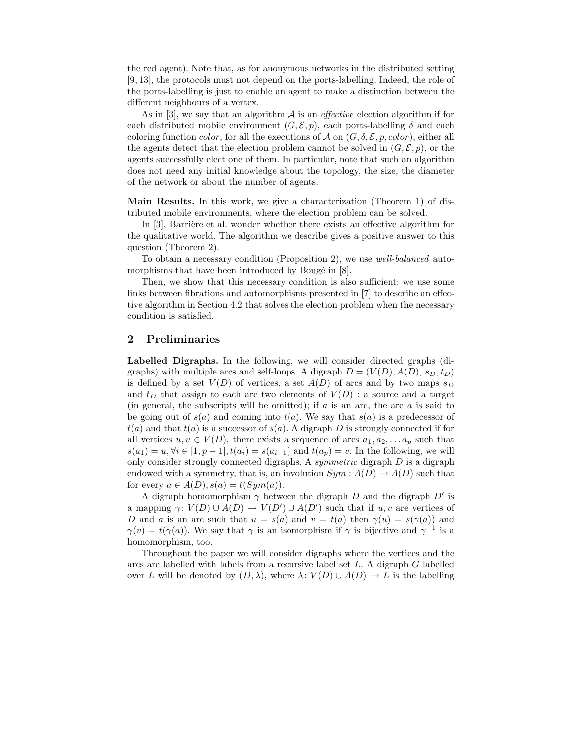the red agent). Note that, as for anonymous networks in the distributed setting [9, 13], the protocols must not depend on the ports-labelling. Indeed, the role of the ports-labelling is just to enable an agent to make a distinction between the different neighbours of a vertex.

As in [3], we say that an algorithm  $A$  is an *effective* election algorithm if for each distributed mobile environment  $(G, \mathcal{E}, p)$ , each ports-labelling  $\delta$  and each coloring function *color*, for all the executions of A on  $(G, \delta, \mathcal{E}, p, color)$ , either all the agents detect that the election problem cannot be solved in  $(G, \mathcal{E}, p)$ , or the agents successfully elect one of them. In particular, note that such an algorithm does not need any initial knowledge about the topology, the size, the diameter of the network or about the number of agents.

Main Results. In this work, we give a characterization (Theorem 1) of distributed mobile environments, where the election problem can be solved.

In  $[3]$ , Barrière et al. wonder whether there exists an effective algorithm for the qualitative world. The algorithm we describe gives a positive answer to this question (Theorem 2).

To obtain a necessary condition (Proposition 2), we use well-balanced automorphisms that have been introduced by Bougé in  $[8]$ .

Then, we show that this necessary condition is also sufficient: we use some links between fibrations and automorphisms presented in [7] to describe an effective algorithm in Section 4.2 that solves the election problem when the necessary condition is satisfied.

#### 2 Preliminaries

Labelled Digraphs. In the following, we will consider directed graphs (digraphs) with multiple arcs and self-loops. A digraph  $D = (V(D), A(D), s_D, t_D)$ is defined by a set  $V(D)$  of vertices, a set  $A(D)$  of arcs and by two maps  $s_D$ and  $t_D$  that assign to each arc two elements of  $V(D)$ : a source and a target (in general, the subscripts will be omitted); if  $a$  is an arc, the arc  $a$  is said to be going out of  $s(a)$  and coming into  $t(a)$ . We say that  $s(a)$  is a predecessor of  $t(a)$  and that  $t(a)$  is a successor of  $s(a)$ . A digraph D is strongly connected if for all vertices  $u, v \in V(D)$ , there exists a sequence of arcs  $a_1, a_2, \ldots a_p$  such that  $s(a_1) = u, \forall i \in [1, p-1], t(a_i) = s(a_{i+1})$  and  $t(a_p) = v$ . In the following, we will only consider strongly connected digraphs. A symmetric digraph  $D$  is a digraph endowed with a symmetry, that is, an involution  $Sym : A(D) \to A(D)$  such that for every  $a \in A(D)$ ,  $s(a) = t(Sym(a))$ .

A digraph homomorphism  $\gamma$  between the digraph D and the digraph D' is a mapping  $\gamma: V(D) \cup A(D) \to V(D') \cup A(D')$  such that if  $u, v$  are vertices of D and a is an arc such that  $u = s(a)$  and  $v = t(a)$  then  $\gamma(u) = s(\gamma(a))$  and  $\gamma(v) = t(\gamma(a))$ . We say that  $\gamma$  is an isomorphism if  $\gamma$  is bijective and  $\gamma^{-1}$  is a homomorphism, too.

Throughout the paper we will consider digraphs where the vertices and the arcs are labelled with labels from a recursive label set L. A digraph G labelled over L will be denoted by  $(D, \lambda)$ , where  $\lambda: V(D) \cup A(D) \to L$  is the labelling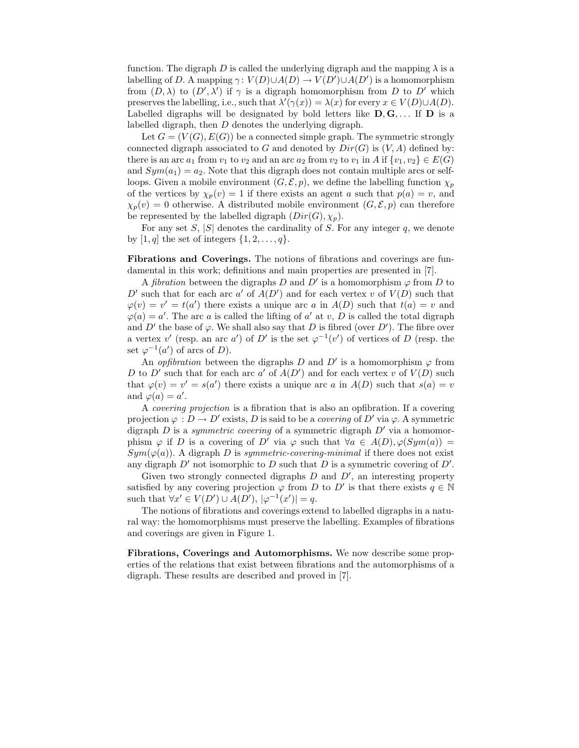function. The digraph D is called the underlying digraph and the mapping  $\lambda$  is a labelling of D. A mapping  $\gamma: V(D) \cup A(D) \to V(D') \cup A(D')$  is a homomorphism from  $(D, \lambda)$  to  $(D', \lambda')$  if  $\gamma$  is a digraph homomorphism from D to D' which preserves the labelling, i.e., such that  $\lambda'(\gamma(x)) = \lambda(x)$  for every  $x \in V(D) \cup A(D)$ . Labelled digraphs will be designated by bold letters like  $D, G, \ldots$  If D is a labelled digraph, then D denotes the underlying digraph.

Let  $G = (V(G), E(G))$  be a connected simple graph. The symmetric strongly connected digraph associated to G and denoted by  $Dir(G)$  is  $(V, A)$  defined by: there is an arc  $a_1$  from  $v_1$  to  $v_2$  and an arc  $a_2$  from  $v_2$  to  $v_1$  in A if  $\{v_1, v_2\} \in E(G)$ and  $Sym(a_1) = a_2$ . Note that this digraph does not contain multiple arcs or selfloops. Given a mobile environment  $(G, \mathcal{E}, p)$ , we define the labelling function  $\chi_p$ of the vertices by  $\chi_p(v) = 1$  if there exists an agent a such that  $p(a) = v$ , and  $\chi_p(v) = 0$  otherwise. A distributed mobile environment  $(G, \mathcal{E}, p)$  can therefore be represented by the labelled digraph  $(Dir(G), \chi_p)$ .

For any set  $S$ ,  $|S|$  denotes the cardinality of  $S$ . For any integer  $q$ , we denote by [1, q] the set of integers  $\{1, 2, \ldots, q\}.$ 

Fibrations and Coverings. The notions of fibrations and coverings are fundamental in this work; definitions and main properties are presented in [7].

A *fibration* between the digraphs D and D' is a homomorphism  $\varphi$  from D to D' such that for each arc a' of  $A(D')$  and for each vertex v of  $V(D)$  such that  $\varphi(v) = v' = t(a')$  there exists a unique arc a in  $A(D)$  such that  $t(a) = v$  and  $\varphi(a) = a'$ . The arc a is called the lifting of a' at v, D is called the total digraph and D' the base of  $\varphi$ . We shall also say that D is fibred (over D'). The fibre over a vertex v' (resp. an arc a') of D' is the set  $\varphi^{-1}(v')$  of vertices of D (resp. the set  $\varphi^{-1}(a')$  of arcs of D).

An *opfibration* between the digraphs D and D' is a homomorphism  $\varphi$  from D to D' such that for each arc a' of  $A(D')$  and for each vertex v of  $V(D)$  such that  $\varphi(v) = v' = s(a')$  there exists a unique arc a in  $A(D)$  such that  $s(a) = v'$ and  $\varphi(a) = a'$ .

A covering projection is a fibration that is also an opfibration. If a covering projection  $\varphi : D \to D'$  exists, D is said to be a *covering* of D' via  $\varphi$ . A symmetric digraph  $D$  is a *symmetric covering* of a symmetric digraph  $D'$  via a homomorphism  $\varphi$  if D is a covering of D' via  $\varphi$  such that  $\forall a \in A(D), \varphi(Sym(a)) =$  $Sym(\varphi(a))$ . A digraph D is symmetric-covering-minimal if there does not exist any digraph  $D'$  not isomorphic to  $D$  such that  $D$  is a symmetric covering of  $D'$ .

Given two strongly connected digraphs  $D$  and  $D'$ , an interesting property satisfied by any covering projection  $\varphi$  from D to D' is that there exists  $q \in \mathbb{N}$ such that  $\forall x' \in V(D') \cup A(D'), |\varphi^{-1}(x')| = q.$ 

The notions of fibrations and coverings extend to labelled digraphs in a natural way: the homomorphisms must preserve the labelling. Examples of fibrations and coverings are given in Figure 1.

Fibrations, Coverings and Automorphisms. We now describe some properties of the relations that exist between fibrations and the automorphisms of a digraph. These results are described and proved in [7].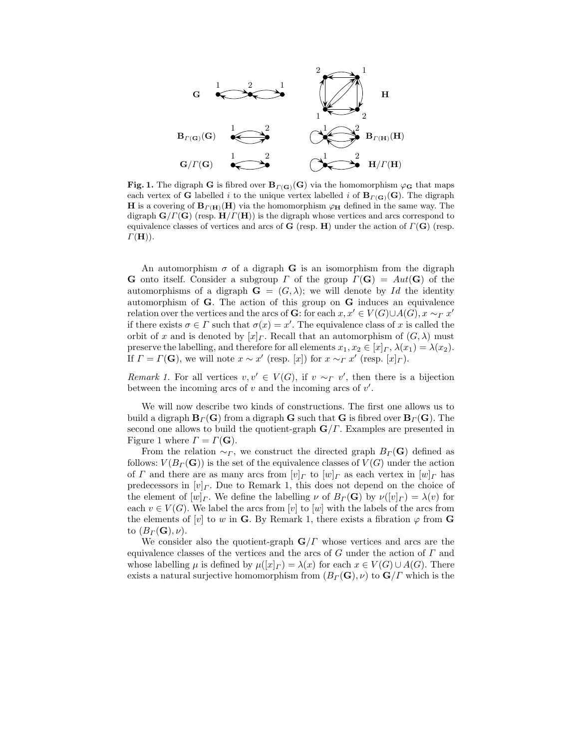

Fig. 1. The digraph G is fibred over  $B_{\Gamma(G)}(G)$  via the homomorphism  $\varphi_G$  that maps each vertex of **G** labelled *i* to the unique vertex labelled *i* of  $B_{\Gamma(G)}(G)$ . The digraph **H** is a covering of  $\mathbf{B}_{\Gamma(\mathbf{H})}(\mathbf{H})$  via the homomorphism  $\varphi_{\mathbf{H}}$  defined in the same way. The digraph  $\mathbf{G}/\Gamma(\mathbf{G})$  (resp.  $\mathbf{H}/\Gamma(\mathbf{H})$ ) is the digraph whose vertices and arcs correspond to equivalence classes of vertices and arcs of  $\bf{G}$  (resp.  $\bf{H}$ ) under the action of  $\Gamma(\bf{G})$  (resp.  $\Gamma(H)$ ).

An automorphism  $\sigma$  of a digraph G is an isomorphism from the digraph **G** onto itself. Consider a subgroup  $\Gamma$  of the group  $\Gamma(\mathbf{G}) = Aut(\mathbf{G})$  of the automorphisms of a digraph  $G = (G, \lambda)$ ; we will denote by Id the identity automorphism of G. The action of this group on G induces an equivalence relation over the vertices and the arcs of G: for each  $x, x' \in V(G) \cup A(G), x \sim_{\Gamma} x'$ if there exists  $\sigma \in \Gamma$  such that  $\sigma(x) = x'$ . The equivalence class of x is called the orbit of x and is denoted by  $[x]_r$ . Recall that an automorphism of  $(G, \lambda)$  must preserve the labelling, and therefore for all elements  $x_1, x_2 \in [x]_r$ ,  $\lambda(x_1) = \lambda(x_2)$ . If  $\Gamma = \Gamma(\mathbf{G})$ , we will note  $x \sim x'$  (resp. [x]) for  $x \sim \Gamma x'$  (resp. [x] $\Gamma$ ).

Remark 1. For all vertices  $v, v' \in V(G)$ , if  $v \sim_{\Gamma} v'$ , then there is a bijection between the incoming arcs of  $v$  and the incoming arcs of  $v'$ .

We will now describe two kinds of constructions. The first one allows us to build a digraph  $B_\Gamma(G)$  from a digraph G such that G is fibred over  $B_\Gamma(G)$ . The second one allows to build the quotient-graph  $\mathbf{G}/\Gamma$ . Examples are presented in Figure 1 where  $\Gamma = \Gamma(\mathbf{G})$ .

From the relation  $\sim_{\Gamma}$ , we construct the directed graph  $B_{\Gamma}(\mathbf{G})$  defined as follows:  $V(B_F(G))$  is the set of the equivalence classes of  $V(G)$  under the action of Γ and there are as many arcs from  $[v]_r$  to  $[w]_r$  as each vertex in  $[w]_r$  has predecessors in  $[v]_r$ . Due to Remark 1, this does not depend on the choice of the element of  $[w]_r$ . We define the labelling  $\nu$  of  $B_r(G)$  by  $\nu([v]_r) = \lambda(v)$  for each  $v \in V(G)$ . We label the arcs from [v] to [w] with the labels of the arcs from the elements of  $[v]$  to w in G. By Remark 1, there exists a fibration  $\varphi$  from G to  $(B_\Gamma(\mathbf{G}), \nu)$ .

We consider also the quotient-graph  $G/\Gamma$  whose vertices and arcs are the equivalence classes of the vertices and the arcs of G under the action of  $\Gamma$  and whose labelling  $\mu$  is defined by  $\mu([x]_T) = \lambda(x)$  for each  $x \in V(G) \cup A(G)$ . There exists a natural surjective homomorphism from  $(B_{\Gamma}(\mathbf{G}), \nu)$  to  $\mathbf{G}/\Gamma$  which is the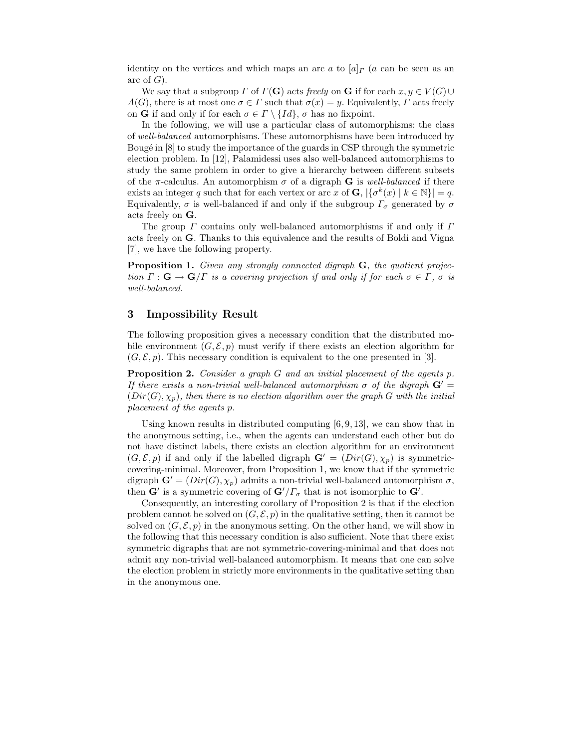identity on the vertices and which maps an arc a to  $[a]_r$  (a can be seen as an arc of  $G$ ).

We say that a subgroup  $\Gamma$  of  $\Gamma(G)$  acts freely on G if for each  $x, y \in V(G) \cup$  $A(G)$ , there is at most one  $\sigma \in \Gamma$  such that  $\sigma(x) = y$ . Equivalently,  $\Gamma$  acts freely on **G** if and only if for each  $\sigma \in \Gamma \setminus \{Id\}$ ,  $\sigma$  has no fixpoint.

In the following, we will use a particular class of automorphisms: the class of well-balanced automorphisms. These automorphisms have been introduced by Bougé in [8] to study the importance of the guards in CSP through the symmetric election problem. In [12], Palamidessi uses also well-balanced automorphisms to study the same problem in order to give a hierarchy between different subsets of the  $\pi$ -calculus. An automorphism  $\sigma$  of a digraph **G** is well-balanced if there exists an integer q such that for each vertex or arc x of **G**,  $|\{\sigma^k(x) \mid k \in \mathbb{N}\}| = q$ . Equivalently,  $\sigma$  is well-balanced if and only if the subgroup  $\Gamma_{\sigma}$  generated by  $\sigma$ acts freely on G.

The group  $\Gamma$  contains only well-balanced automorphisms if and only if  $\Gamma$ acts freely on G. Thanks to this equivalence and the results of Boldi and Vigna [7], we have the following property.

Proposition 1. Given any strongly connected digraph G, the quotient projection  $\Gamma : \mathbf{G} \to \mathbf{G}/\Gamma$  is a covering projection if and only if for each  $\sigma \in \Gamma$ ,  $\sigma$  is well-balanced.

## 3 Impossibility Result

The following proposition gives a necessary condition that the distributed mobile environment  $(G, \mathcal{E}, p)$  must verify if there exists an election algorithm for  $(G, \mathcal{E}, p)$ . This necessary condition is equivalent to the one presented in [3].

Proposition 2. Consider a graph G and an initial placement of the agents p. If there exists a non-trivial well-balanced automorphism  $\sigma$  of the digraph  $G' =$  $(Dir(G), \chi_p)$ , then there is no election algorithm over the graph G with the initial placement of the agents p.

Using known results in distributed computing [6, 9, 13], we can show that in the anonymous setting, i.e., when the agents can understand each other but do not have distinct labels, there exists an election algorithm for an environment  $(G, \mathcal{E}, p)$  if and only if the labelled digraph  $\mathbf{G}' = (Dir(G), \chi_p)$  is symmetriccovering-minimal. Moreover, from Proposition 1, we know that if the symmetric digraph  $\mathbf{G}' = (Dir(G), \chi_p)$  admits a non-trivial well-balanced automorphism  $\sigma$ , then  $\mathbf{G}'$  is a symmetric covering of  $\mathbf{G}'/ \Gamma_{\sigma}$  that is not isomorphic to  $\mathbf{G}'$ .

Consequently, an interesting corollary of Proposition 2 is that if the election problem cannot be solved on  $(G, \mathcal{E}, p)$  in the qualitative setting, then it cannot be solved on  $(G, \mathcal{E}, p)$  in the anonymous setting. On the other hand, we will show in the following that this necessary condition is also sufficient. Note that there exist symmetric digraphs that are not symmetric-covering-minimal and that does not admit any non-trivial well-balanced automorphism. It means that one can solve the election problem in strictly more environments in the qualitative setting than in the anonymous one.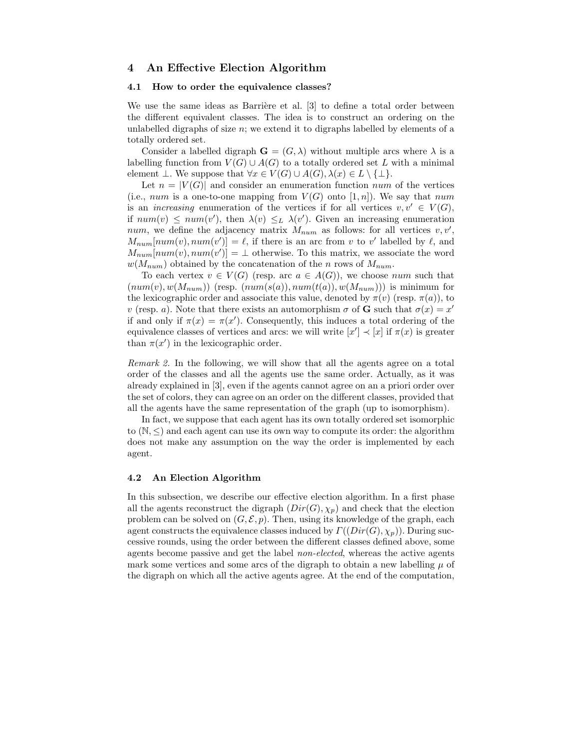## 4 An Effective Election Algorithm

#### 4.1 How to order the equivalence classes?

We use the same ideas as Barrière et al.  $[3]$  to define a total order between the different equivalent classes. The idea is to construct an ordering on the unlabelled digraphs of size  $n$ ; we extend it to digraphs labelled by elements of a totally ordered set.

Consider a labelled digraph  $\mathbf{G} = (G, \lambda)$  without multiple arcs where  $\lambda$  is a labelling function from  $V(G) \cup A(G)$  to a totally ordered set L with a minimal element  $\bot$ . We suppose that  $\forall x \in V(G) \cup A(G), \lambda(x) \in L \setminus \{\bot\}.$ 

Let  $n = |V(G)|$  and consider an enumeration function num of the vertices (i.e., num is a one-to-one mapping from  $V(G)$  onto  $[1,n]$ ). We say that num is an *increasing* enumeration of the vertices if for all vertices  $v, v' \in V(G)$ , if  $num(v) \leq num(v')$ , then  $\lambda(v) \leq_L \lambda(v')$ . Given an increasing enumeration num, we define the adjacency matrix  $M_{num}$  as follows: for all vertices  $v, v'$ ,  $M_{num}[num(v), num(v')] = \ell$ , if there is an arc from v to v' labelled by  $\ell$ , and  $M_{num}[num(v), num(v')] = \perp$  otherwise. To this matrix, we associate the word  $w(M_{num})$  obtained by the concatenation of the n rows of  $M_{num}$ .

To each vertex  $v \in V(G)$  (resp. arc  $a \in A(G)$ ), we choose num such that  $(num(v), w(M_{num}))$  (resp.  $(num(s(a)), num(t(a)), w(M_{num}))$ ) is minimum for the lexicographic order and associate this value, denoted by  $\pi(v)$  (resp.  $\pi(a)$ ), to v (resp. a). Note that there exists an automorphism  $\sigma$  of **G** such that  $\sigma(x) = x'$ if and only if  $\pi(x) = \pi(x')$ . Consequently, this induces a total ordering of the equivalence classes of vertices and arcs: we will write  $[x'] \prec [x]$  if  $\pi(x)$  is greater than  $\pi(x')$  in the lexicographic order.

Remark 2. In the following, we will show that all the agents agree on a total order of the classes and all the agents use the same order. Actually, as it was already explained in [3], even if the agents cannot agree on an a priori order over the set of colors, they can agree on an order on the different classes, provided that all the agents have the same representation of the graph (up to isomorphism).

In fact, we suppose that each agent has its own totally ordered set isomorphic to  $(N, \leq)$  and each agent can use its own way to compute its order: the algorithm does not make any assumption on the way the order is implemented by each agent.

#### 4.2 An Election Algorithm

In this subsection, we describe our effective election algorithm. In a first phase all the agents reconstruct the digraph  $(Dir(G), \chi_p)$  and check that the election problem can be solved on  $(G, \mathcal{E}, p)$ . Then, using its knowledge of the graph, each agent constructs the equivalence classes induced by  $\Gamma((Dir(G), \chi_p))$ . During successive rounds, using the order between the different classes defined above, some agents become passive and get the label non-elected, whereas the active agents mark some vertices and some arcs of the digraph to obtain a new labelling  $\mu$  of the digraph on which all the active agents agree. At the end of the computation,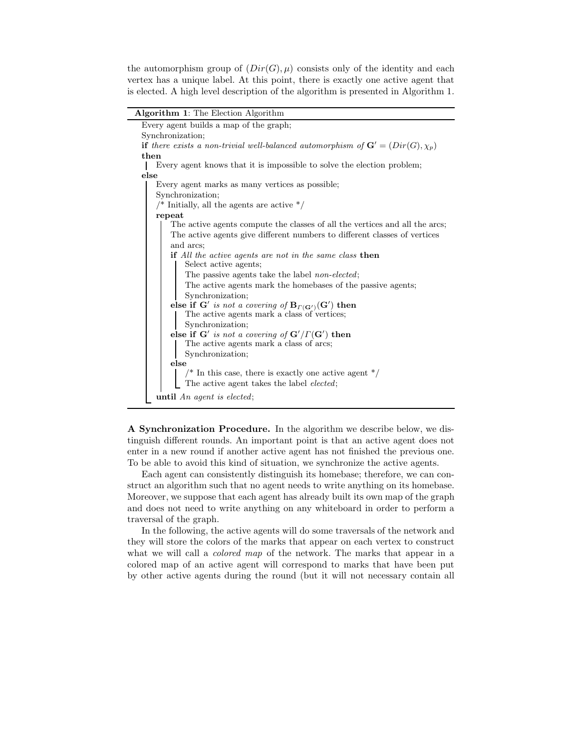the automorphism group of  $(Dir(G), \mu)$  consists only of the identity and each vertex has a unique label. At this point, there is exactly one active agent that is elected. A high level description of the algorithm is presented in Algorithm 1.

Algorithm 1: The Election Algorithm

| Every agent builds a map of the graph;                                              |
|-------------------------------------------------------------------------------------|
| Synchronization;                                                                    |
| if there exists a non-trivial well-balanced automorphism of $G' = (Dir(G), \chi_p)$ |
| then                                                                                |
| Every agent knows that it is impossible to solve the election problem;              |
| else                                                                                |
| Every agent marks as many vertices as possible;                                     |
| Synchronization:                                                                    |
| $\frac{1}{2}$ Initially, all the agents are active $\frac{1}{2}$                    |
| repeat                                                                              |
| The active agents compute the classes of all the vertices and all the arcs;         |
| The active agents give different numbers to different classes of vertices           |
| and arcs:                                                                           |
| <b>if</b> All the active agents are not in the same class then                      |
| Select active agents;                                                               |
| The passive agents take the label <i>non-elected</i> ;                              |
| The active agents mark the homebases of the passive agents;                         |
| Synchronization;                                                                    |
| else if G' is not a covering of $B_{\Gamma(G')}(G')$ then                           |
| The active agents mark a class of vertices;                                         |
| Synchronization:                                                                    |
| else if $G'$ is not a covering of $G'/\Gamma(G')$ then                              |
| The active agents mark a class of arcs;                                             |
| Synchronization;                                                                    |
| else                                                                                |
|                                                                                     |
| The active agent takes the label elected;                                           |
| <b>until</b> An agent is elected;                                                   |

A Synchronization Procedure. In the algorithm we describe below, we distinguish different rounds. An important point is that an active agent does not enter in a new round if another active agent has not finished the previous one. To be able to avoid this kind of situation, we synchronize the active agents.

Each agent can consistently distinguish its homebase; therefore, we can construct an algorithm such that no agent needs to write anything on its homebase. Moreover, we suppose that each agent has already built its own map of the graph and does not need to write anything on any whiteboard in order to perform a traversal of the graph.

In the following, the active agents will do some traversals of the network and they will store the colors of the marks that appear on each vertex to construct what we will call a *colored map* of the network. The marks that appear in a colored map of an active agent will correspond to marks that have been put by other active agents during the round (but it will not necessary contain all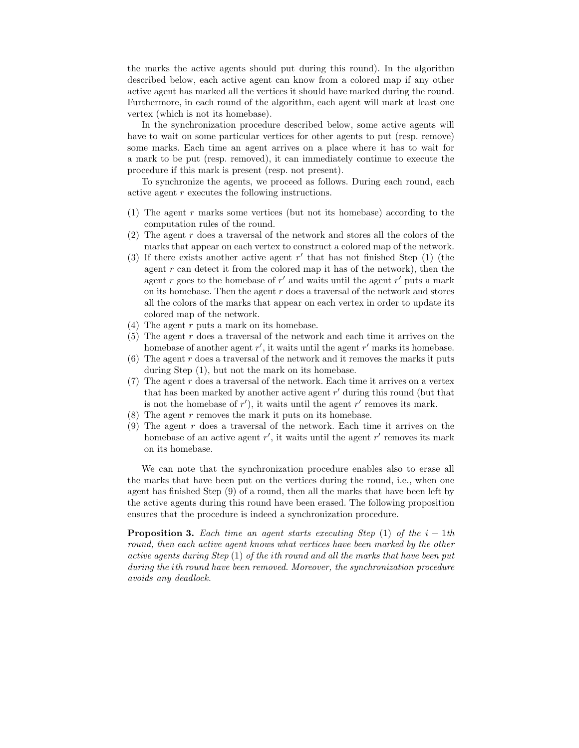the marks the active agents should put during this round). In the algorithm described below, each active agent can know from a colored map if any other active agent has marked all the vertices it should have marked during the round. Furthermore, in each round of the algorithm, each agent will mark at least one vertex (which is not its homebase).

In the synchronization procedure described below, some active agents will have to wait on some particular vertices for other agents to put (resp. remove) some marks. Each time an agent arrives on a place where it has to wait for a mark to be put (resp. removed), it can immediately continue to execute the procedure if this mark is present (resp. not present).

To synchronize the agents, we proceed as follows. During each round, each active agent r executes the following instructions.

- (1) The agent  $r$  marks some vertices (but not its homebase) according to the computation rules of the round.
- (2) The agent r does a traversal of the network and stores all the colors of the marks that appear on each vertex to construct a colored map of the network.
- (3) If there exists another active agent  $r'$  that has not finished Step (1) (the agent  $r$  can detect it from the colored map it has of the network), then the agent r goes to the homebase of  $r'$  and waits until the agent  $r'$  puts a mark on its homebase. Then the agent  $r$  does a traversal of the network and stores all the colors of the marks that appear on each vertex in order to update its colored map of the network.
- (4) The agent  $r$  puts a mark on its homebase.
- (5) The agent r does a traversal of the network and each time it arrives on the homebase of another agent  $r'$ , it waits until the agent  $r'$  marks its homebase.
- (6) The agent  $r$  does a traversal of the network and it removes the marks it puts during Step (1), but not the mark on its homebase.
- $(7)$  The agent r does a traversal of the network. Each time it arrives on a vertex that has been marked by another active agent  $r'$  during this round (but that is not the homebase of  $r'$ ), it waits until the agent  $r'$  removes its mark.
- $(8)$  The agent r removes the mark it puts on its homebase.
- (9) The agent  $r$  does a traversal of the network. Each time it arrives on the homebase of an active agent  $r'$ , it waits until the agent  $r'$  removes its mark on its homebase.

We can note that the synchronization procedure enables also to erase all the marks that have been put on the vertices during the round, i.e., when one agent has finished Step (9) of a round, then all the marks that have been left by the active agents during this round have been erased. The following proposition ensures that the procedure is indeed a synchronization procedure.

**Proposition 3.** Each time an agent starts executing Step (1) of the  $i + 1$ th round, then each active agent knows what vertices have been marked by the other active agents during Step (1) of the ith round and all the marks that have been put during the ith round have been removed. Moreover, the synchronization procedure avoids any deadlock.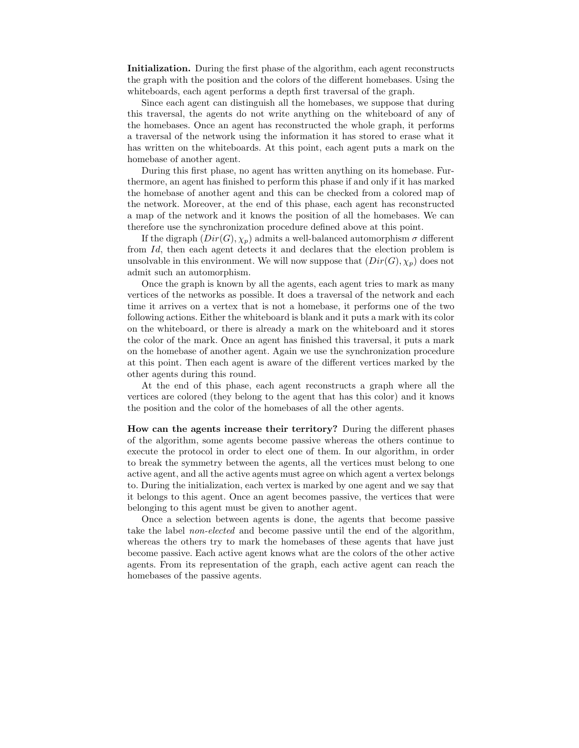Initialization. During the first phase of the algorithm, each agent reconstructs the graph with the position and the colors of the different homebases. Using the whiteboards, each agent performs a depth first traversal of the graph.

Since each agent can distinguish all the homebases, we suppose that during this traversal, the agents do not write anything on the whiteboard of any of the homebases. Once an agent has reconstructed the whole graph, it performs a traversal of the network using the information it has stored to erase what it has written on the whiteboards. At this point, each agent puts a mark on the homebase of another agent.

During this first phase, no agent has written anything on its homebase. Furthermore, an agent has finished to perform this phase if and only if it has marked the homebase of another agent and this can be checked from a colored map of the network. Moreover, at the end of this phase, each agent has reconstructed a map of the network and it knows the position of all the homebases. We can therefore use the synchronization procedure defined above at this point.

If the digraph  $(Dir(G), \chi_p)$  admits a well-balanced automorphism  $\sigma$  different from Id, then each agent detects it and declares that the election problem is unsolvable in this environment. We will now suppose that  $(Dir(G), \chi_p)$  does not admit such an automorphism.

Once the graph is known by all the agents, each agent tries to mark as many vertices of the networks as possible. It does a traversal of the network and each time it arrives on a vertex that is not a homebase, it performs one of the two following actions. Either the whiteboard is blank and it puts a mark with its color on the whiteboard, or there is already a mark on the whiteboard and it stores the color of the mark. Once an agent has finished this traversal, it puts a mark on the homebase of another agent. Again we use the synchronization procedure at this point. Then each agent is aware of the different vertices marked by the other agents during this round.

At the end of this phase, each agent reconstructs a graph where all the vertices are colored (they belong to the agent that has this color) and it knows the position and the color of the homebases of all the other agents.

How can the agents increase their territory? During the different phases of the algorithm, some agents become passive whereas the others continue to execute the protocol in order to elect one of them. In our algorithm, in order to break the symmetry between the agents, all the vertices must belong to one active agent, and all the active agents must agree on which agent a vertex belongs to. During the initialization, each vertex is marked by one agent and we say that it belongs to this agent. Once an agent becomes passive, the vertices that were belonging to this agent must be given to another agent.

Once a selection between agents is done, the agents that become passive take the label non-elected and become passive until the end of the algorithm, whereas the others try to mark the homebases of these agents that have just become passive. Each active agent knows what are the colors of the other active agents. From its representation of the graph, each active agent can reach the homebases of the passive agents.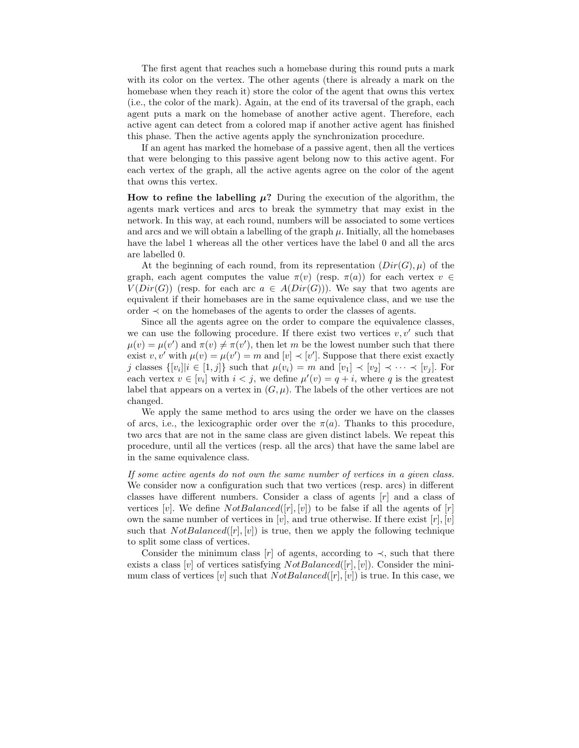The first agent that reaches such a homebase during this round puts a mark with its color on the vertex. The other agents (there is already a mark on the homebase when they reach it) store the color of the agent that owns this vertex (i.e., the color of the mark). Again, at the end of its traversal of the graph, each agent puts a mark on the homebase of another active agent. Therefore, each active agent can detect from a colored map if another active agent has finished this phase. Then the active agents apply the synchronization procedure.

If an agent has marked the homebase of a passive agent, then all the vertices that were belonging to this passive agent belong now to this active agent. For each vertex of the graph, all the active agents agree on the color of the agent that owns this vertex.

How to refine the labelling  $\mu$ ? During the execution of the algorithm, the agents mark vertices and arcs to break the symmetry that may exist in the network. In this way, at each round, numbers will be associated to some vertices and arcs and we will obtain a labelling of the graph  $\mu$ . Initially, all the homebases have the label 1 whereas all the other vertices have the label 0 and all the arcs are labelled 0.

At the beginning of each round, from its representation  $(Dir(G), \mu)$  of the graph, each agent computes the value  $\pi(v)$  (resp.  $\pi(a)$ ) for each vertex  $v \in$  $V(Dir(G))$  (resp. for each arc  $a \in A(Dir(G))$ ). We say that two agents are equivalent if their homebases are in the same equivalence class, and we use the order  $\prec$  on the homebases of the agents to order the classes of agents.

Since all the agents agree on the order to compare the equivalence classes, we can use the following procedure. If there exist two vertices  $v, v'$  such that  $\mu(v) = \mu(v')$  and  $\pi(v) \neq \pi(v')$ , then let m be the lowest number such that there exist  $v, v'$  with  $\mu(v) = \mu(v') = m$  and  $[v] \prec [v']$ . Suppose that there exist exactly j classes  $\{[v_i]|i \in [1,j]\}$  such that  $\mu(v_i) = m$  and  $[v_1] \prec [v_2] \prec \cdots \prec [v_j]$ . For each vertex  $v \in [v_i]$  with  $i < j$ , we define  $\mu'(v) = q + i$ , where q is the greatest label that appears on a vertex in  $(G, \mu)$ . The labels of the other vertices are not changed.

We apply the same method to arcs using the order we have on the classes of arcs, i.e., the lexicographic order over the  $\pi(a)$ . Thanks to this procedure, two arcs that are not in the same class are given distinct labels. We repeat this procedure, until all the vertices (resp. all the arcs) that have the same label are in the same equivalence class.

If some active agents do not own the same number of vertices in a given class. We consider now a configuration such that two vertices (resp. arcs) in different classes have different numbers. Consider a class of agents [r] and a class of vertices [v]. We define  $NotBalanced([r], [v])$  to be false if all the agents of [r] own the same number of vertices in  $[v]$ , and true otherwise. If there exist  $[r]$ ,  $[v]$ such that  $NotBalanced([r], [v])$  is true, then we apply the following technique to split some class of vertices.

Consider the minimum class [r] of agents, according to  $\prec$ , such that there exists a class [v] of vertices satisfying  $NotBalanced([r], [v])$ . Consider the minimum class of vertices [v] such that  $NotBalanced([r], [v])$  is true. In this case, we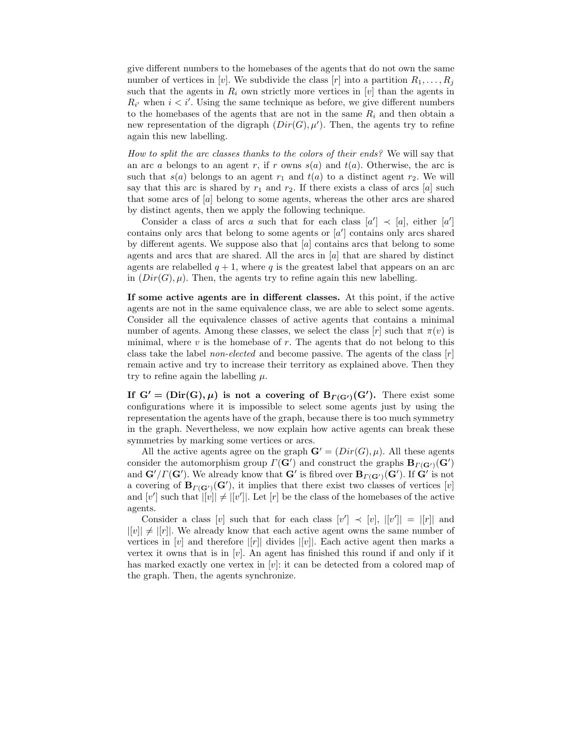give different numbers to the homebases of the agents that do not own the same number of vertices in [v]. We subdivide the class [r] into a partition  $R_1, \ldots, R_j$ such that the agents in  $R_i$  own strictly more vertices in [v] than the agents in  $R_{i'}$  when  $i < i'$ . Using the same technique as before, we give different numbers to the homebases of the agents that are not in the same  $R_i$  and then obtain a new representation of the digraph  $(Dir(G), \mu')$ . Then, the agents try to refine again this new labelling.

How to split the arc classes thanks to the colors of their ends? We will say that an arc a belongs to an agent r, if r owns  $s(a)$  and  $t(a)$ . Otherwise, the arc is such that  $s(a)$  belongs to an agent  $r_1$  and  $t(a)$  to a distinct agent  $r_2$ . We will say that this arc is shared by  $r_1$  and  $r_2$ . If there exists a class of arcs [a] such that some arcs of [a] belong to some agents, whereas the other arcs are shared by distinct agents, then we apply the following technique.

Consider a class of arcs a such that for each class  $[a'] \prec [a]$ , either  $[a']$ contains only arcs that belong to some agents or  $[a']$  contains only arcs shared by different agents. We suppose also that  $[a]$  contains arcs that belong to some agents and arcs that are shared. All the arcs in  $[a]$  that are shared by distinct agents are relabelled  $q + 1$ , where q is the greatest label that appears on an arc in  $(Dir(G), \mu)$ . Then, the agents try to refine again this new labelling.

If some active agents are in different classes. At this point, if the active agents are not in the same equivalence class, we are able to select some agents. Consider all the equivalence classes of active agents that contains a minimal number of agents. Among these classes, we select the class  $[r]$  such that  $\pi(v)$  is minimal, where  $v$  is the homebase of  $r$ . The agents that do not belong to this class take the label non-elected and become passive. The agents of the class  $[r]$ remain active and try to increase their territory as explained above. Then they try to refine again the labelling  $\mu$ .

If  $G' = (Dir(G), \mu)$  is not a covering of  $B_{\Gamma(G')}(G')$ . There exist some configurations where it is impossible to select some agents just by using the representation the agents have of the graph, because there is too much symmetry in the graph. Nevertheless, we now explain how active agents can break these symmetries by marking some vertices or arcs.

All the active agents agree on the graph  $\mathbf{G}' = (Dir(G), \mu)$ . All these agents consider the automorphism group  $\Gamma(\mathbf{G}')$  and construct the graphs  $\mathbf{B}_{\Gamma(\mathbf{G}')}(\mathbf{G}')$ and  ${\bf G}'/\Gamma({\bf G}')$ . We already know that  ${\bf G}'$  is fibred over  ${\bf B}_{\Gamma({\bf G}')}({\bf G}')$ . If  ${\bf G}'$  is not a covering of  $\mathbf{B}_{\Gamma(\mathbf{G}')}(G')$ , it implies that there exist two classes of vertices [v] and  $[v']$  such that  $|[v]] \neq |[v']|$ . Let  $[r]$  be the class of the homebases of the active agents.

Consider a class [v] such that for each class  $[v'] \prec [v]$ ,  $|[v']| = |[r]|$  and  $|[v]| \neq |[r]|$ . We already know that each active agent owns the same number of vertices in [v] and therefore  $||r||$  divides  $||v||$ . Each active agent then marks a vertex it owns that is in  $[v]$ . An agent has finished this round if and only if it has marked exactly one vertex in [v]: it can be detected from a colored map of the graph. Then, the agents synchronize.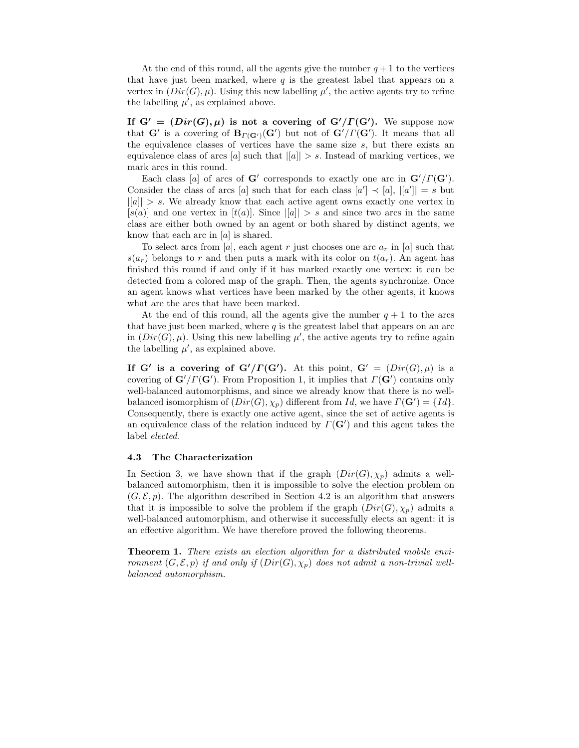At the end of this round, all the agents give the number  $q+1$  to the vertices that have just been marked, where  $q$  is the greatest label that appears on a vertex in  $(Dir(G), \mu)$ . Using this new labelling  $\mu'$ , the active agents try to refine the labelling  $\mu'$ , as explained above.

If  $G' = (Dir(G), \mu)$  is not a covering of  $G'/\Gamma(G')$ . We suppose now that  $\mathbf{G}'$  is a covering of  $\mathbf{B}_{\Gamma(\mathbf{G}')}(\mathbf{G}')$  but not of  $\mathbf{G}'/\Gamma(\mathbf{G}')$ . It means that all the equivalence classes of vertices have the same size  $s$ , but there exists an equivalence class of arcs |a| such that  $||a|| > s$ . Instead of marking vertices, we mark arcs in this round.

Each class [a] of arcs of  $G'$  corresponds to exactly one arc in  $G'/\Gamma(G')$ . Consider the class of arcs [a] such that for each class  $[a'] \prec [a], |[a']| = s$  but  $\vert [a]\vert > s$ . We already know that each active agent owns exactly one vertex in  $[s(a)]$  and one vertex in  $[t(a)]$ . Since  $||a|| > s$  and since two arcs in the same class are either both owned by an agent or both shared by distinct agents, we know that each arc in [a] is shared.

To select arcs from  $[a]$ , each agent r just chooses one arc  $a_r$  in  $[a]$  such that  $s(a_r)$  belongs to r and then puts a mark with its color on  $t(a_r)$ . An agent has finished this round if and only if it has marked exactly one vertex: it can be detected from a colored map of the graph. Then, the agents synchronize. Once an agent knows what vertices have been marked by the other agents, it knows what are the arcs that have been marked.

At the end of this round, all the agents give the number  $q + 1$  to the arcs that have just been marked, where  $q$  is the greatest label that appears on an arc in  $(Dir(G), \mu)$ . Using this new labelling  $\mu'$ , the active agents try to refine again the labelling  $\mu'$ , as explained above.

If G' is a covering of G'/ $\Gamma(G')$ . At this point, G' =  $(Dir(G), \mu)$  is a covering of  $\mathbf{G}'/\Gamma(\mathbf{G}')$ . From Proposition 1, it implies that  $\Gamma(\mathbf{G}')$  contains only well-balanced automorphisms, and since we already know that there is no wellbalanced isomorphism of  $(Dir(G), \chi_p)$  different from Id, we have  $\Gamma(\mathbf{G}') = \{Id\}.$ Consequently, there is exactly one active agent, since the set of active agents is an equivalence class of the relation induced by  $\Gamma(\mathbf{G}')$  and this agent takes the label elected.

#### 4.3 The Characterization

In Section 3, we have shown that if the graph  $(Dir(G), \chi_p)$  admits a wellbalanced automorphism, then it is impossible to solve the election problem on  $(G, \mathcal{E}, p)$ . The algorithm described in Section 4.2 is an algorithm that answers that it is impossible to solve the problem if the graph  $(Dir(G), \chi_p)$  admits a well-balanced automorphism, and otherwise it successfully elects an agent: it is an effective algorithm. We have therefore proved the following theorems.

Theorem 1. There exists an election algorithm for a distributed mobile environment  $(G, \mathcal{E}, p)$  if and only if  $(Dir(G), \chi_p)$  does not admit a non-trivial wellbalanced automorphism.